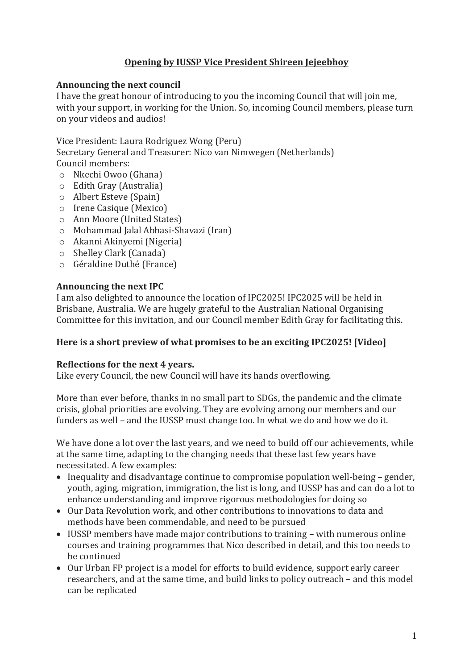# **Opening by IUSSP Vice President Shireen Jejeebhoy**

### **Announcing the next council**

I have the great honour of introducing to you the incoming Council that will join me, with your support, in working for the Union. So, incoming Council members, please turn on your videos and audios!

Vice President: Laura Rodriguez Wong (Peru)

Secretary General and Treasurer: Nico van Nimwegen (Netherlands) Council members:

- o Nkechi Owoo (Ghana)
- o Edith Gray (Australia)
- o Albert Esteve (Spain)
- o Irene Casique (Mexico)
- o Ann Moore (United States)
- o Mohammad Jalal Abbasi-Shavazi (Iran)
- o Akanni Akinyemi (Nigeria)
- o Shelley Clark (Canada)
- o Géraldine Duthé (France)

## **Announcing the next IPC**

I am also delighted to announce the location of IPC2025! IPC2025 will be held in Brisbane, Australia. We are hugely grateful to the Australian National Organising Committee for this invitation, and our Council member Edith Gray for facilitating this.

## **Here is a short preview of what promises to be an exciting IPC2025! [Video]**

## **Reflections for the next 4 years.**

Like every Council, the new Council will have its hands overflowing.

More than ever before, thanks in no small part to SDGs, the pandemic and the climate crisis, global priorities are evolving. They are evolving among our members and our funders as well – and the IUSSP must change too. In what we do and how we do it.

We have done a lot over the last years, and we need to build off our achievements, while at the same time, adapting to the changing needs that these last few years have necessitated. A few examples:

- Inequality and disadvantage continue to compromise population well-being gender, youth, aging, migration, immigration, the list is long, and IUSSP has and can do a lot to enhance understanding and improve rigorous methodologies for doing so
- Our Data Revolution work, and other contributions to innovations to data and methods have been commendable, and need to be pursued
- IUSSP members have made major contributions to training with numerous online courses and training programmes that Nico described in detail, and this too needs to be continued
- Our Urban FP project is a model for efforts to build evidence, support early career researchers, and at the same time, and build links to policy outreach – and this model can be replicated